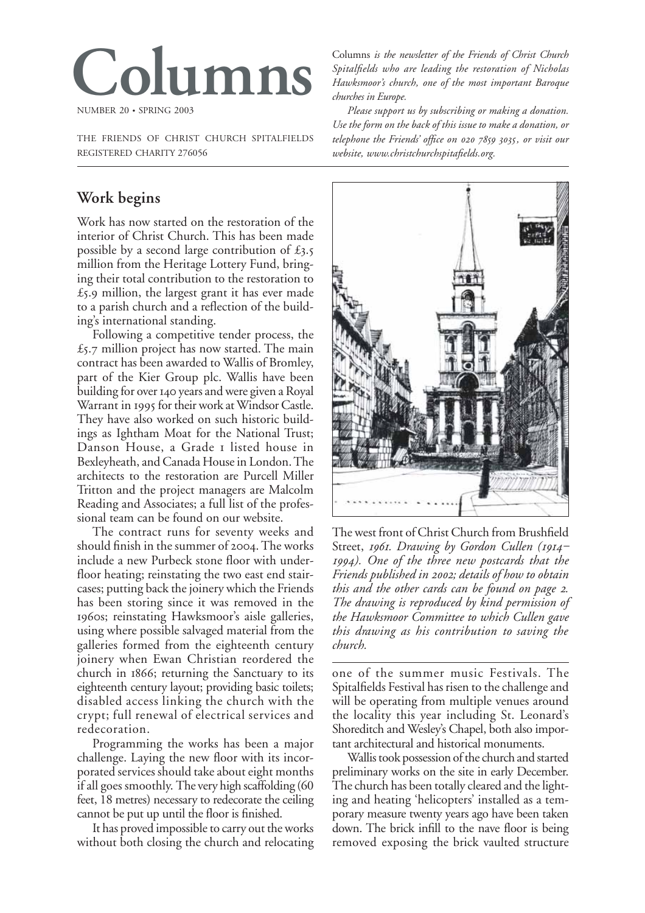

THE FRIENDS OF CHRIST CHURCH SPITALFIELDS REGISTERED CHARITY 276056

# **Work begins**

Work has now started on the restoration of the interior of Christ Church. This has been made possible by a second large contribution of  $£3.5$ million from the Heritage Lottery Fund, bringing their total contribution to the restoration to  $£5.9$  million, the largest grant it has ever made to a parish church and a reflection of the building's international standing.

Following a competitive tender process, the  $£5.7$  million project has now started. The main contract has been awarded to Wallis of Bromley, part of the Kier Group plc. Wallis have been building for over 140 years and were given a Royal Warrant in 1995 for their work at Windsor Castle. They have also worked on such historic buildings as Ightham Moat for the National Trust; Danson House, a Grade I listed house in Bexleyheath, and Canada House in London. The architects to the restoration are Purcell Miller Tritton and the project managers are Malcolm Reading and Associates; a full list of the professional team can be found on our website.

The contract runs for seventy weeks and should finish in the summer of 2004. The works include a new Purbeck stone floor with underfloor heating; reinstating the two east end staircases; putting back the joinery which the Friends has been storing since it was removed in the 1960s; reinstating Hawksmoor's aisle galleries, using where possible salvaged material from the galleries formed from the eighteenth century joinery when Ewan Christian reordered the church in 1866; returning the Sanctuary to its eighteenth century layout; providing basic toilets; disabled access linking the church with the crypt; full renewal of electrical services and redecoration.

Programming the works has been a major challenge. Laying the new floor with its incorporated services should take about eight months if all goes smoothly. The very high scaffolding (60 feet, 18 metres) necessary to redecorate the ceiling cannot be put up until the floor is finished.

It has proved impossible to carry out the works without both closing the church and relocating

Columns *is the newsletter of the Friends of Christ Church Spitalfields who are leading the restoration of Nicholas Hawksmoor's church, one of the most important Baroque churches in Europe.*

*Please support us by subscribing or making a donation. Use the form on the back of this issue to make a donation, or* telephone the Friends' office on 020 7859 3035, or visit our *website, www.christchurchspitafields.org.*



The west front of Christ Church from Brushfield Street, *1961. Drawing by Gordon Cullen (1914 ). One of the three new postcards that the Friends published in ; details of how to obtain this and the other cards can be found on page . The drawing is reproduced by kind permission of the Hawksmoor Committee to which Cullen gave this drawing as his contribution to saving the church.*

one of the summer music Festivals. The Spitalfields Festival has risen to the challenge and will be operating from multiple venues around the locality this year including St. Leonard's Shoreditch and Wesley's Chapel, both also important architectural and historical monuments.

Wallis took possession of the church and started preliminary works on the site in early December. The church has been totally cleared and the lighting and heating 'helicopters' installed as a temporary measure twenty years ago have been taken down. The brick infill to the nave floor is being removed exposing the brick vaulted structure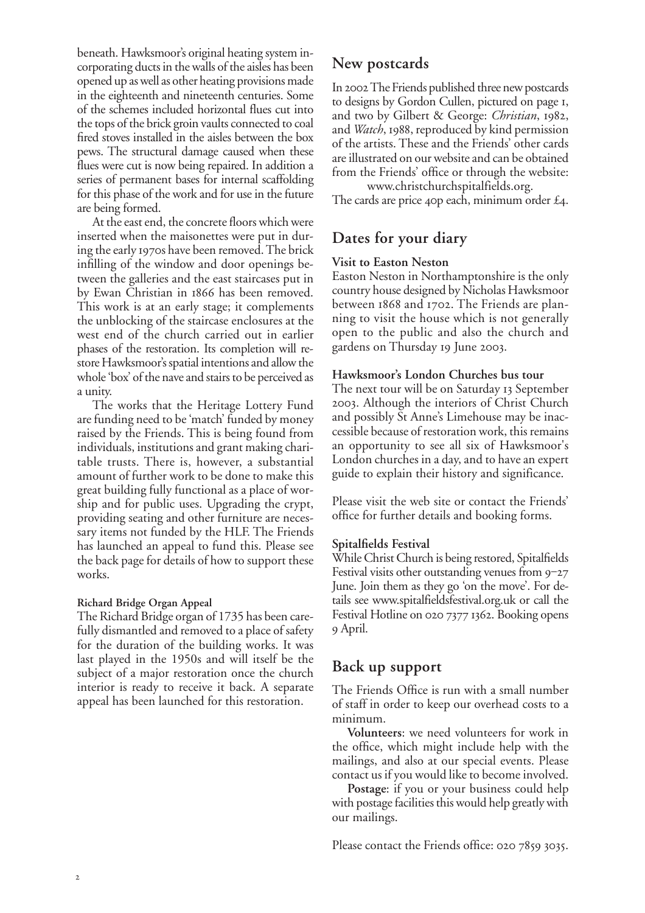beneath. Hawksmoor's original heating system incorporating ducts in the walls of the aisles has been opened up as well as other heating provisions made in the eighteenth and nineteenth centuries. Some of the schemes included horizontal flues cut into the tops of the brick groin vaults connected to coal fired stoves installed in the aisles between the box pews. The structural damage caused when these flues were cut is now being repaired. In addition a series of permanent bases for internal scaffolding for this phase of the work and for use in the future are being formed.

At the east end, the concrete floors which were inserted when the maisonettes were put in during the early 1970s have been removed. The brick infilling of the window and door openings between the galleries and the east staircases put in by Ewan Christian in 1866 has been removed. This work is at an early stage; it complements the unblocking of the staircase enclosures at the west end of the church carried out in earlier phases of the restoration. Its completion will restore Hawksmoor's spatial intentions and allow the whole 'box' of the nave and stairs to be perceived as a unity.

The works that the Heritage Lottery Fund are funding need to be 'match' funded by money raised by the Friends. This is being found from individuals, institutions and grant making charitable trusts. There is, however, a substantial amount of further work to be done to make this great building fully functional as a place of worship and for public uses. Upgrading the crypt, providing seating and other furniture are necessary items not funded by the HLF. The Friends has launched an appeal to fund this. Please see the back page for details of how to support these works.

#### **Richard Bridge Organ Appeal**

The Richard Bridge organ of 1735 has been carefully dismantled and removed to a place of safety for the duration of the building works. It was last played in the 1950s and will itself be the subject of a major restoration once the church interior is ready to receive it back. A separate appeal has been launched for this restoration.

## **New postcards**

In 2002 The Friends published three new postcards to designs by Gordon Cullen, pictured on page 1, and two by Gilbert & George: *Christian*, 1982, and *Watch*, 1988, reproduced by kind permission of the artists. These and the Friends' other cards are illustrated on our website and can be obtained from the Friends' office or through the website:

www.christchurchspitalfields.org. The cards are price 40p each, minimum order  $\mathcal{E}_4$ .

## **Dates for your diary**

#### **Visit to Easton Neston**

Easton Neston in Northamptonshire is the only country house designed by Nicholas Hawksmoor between 1868 and 1702. The Friends are planning to visit the house which is not generally open to the public and also the church and gardens on Thursday 19 June 2003.

#### **Hawksmoor's London Churches bus tour**

The next tour will be on Saturday 13 September . Although the interiors of Christ Church and possibly St Anne's Limehouse may be inaccessible because of restoration work, this remains an opportunity to see all six of Hawksmoor's London churches in a day, and to have an expert guide to explain their history and significance.

Please visit the web site or contact the Friends' office for further details and booking forms.

#### **Spitalfields Festival**

While Christ Church is being restored, Spitalfields Festival visits other outstanding venues from  $9-27$ June. Join them as they go 'on the move'. For details see www.spitalfieldsfestival.org.uk or call the Festival Hotline on 020 7377 1362. Booking opens April.

### **Back up support**

The Friends Office is run with a small number of staff in order to keep our overhead costs to a minimum.

**Volunteers**: we need volunteers for work in the office, which might include help with the mailings, and also at our special events. Please contact us if you would like to become involved.

**Postage**: if you or your business could help with postage facilities this would help greatly with our mailings.

Please contact the Friends office:  $02078593035$ .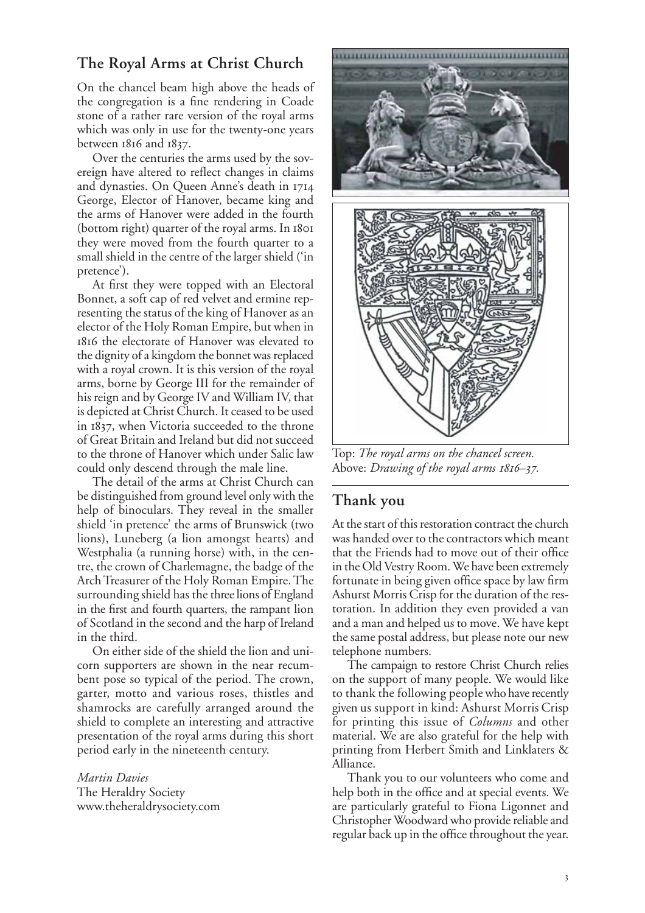## **The Royal Arms at Christ Church**

On the chancel beam high above the heads of the congregation is a fine rendering in Coade stone of a rather rare version of the royal arms which was only in use for the twenty-one years between  $1816$  and  $1837$ .

Over the centuries the arms used by the sovereign have altered to reflect changes in claims and dynasties. On Queen Anne's death in George, Elector of Hanover, became king and the arms of Hanover were added in the fourth (bottom right) quarter of the royal arms. In they were moved from the fourth quarter to a small shield in the centre of the larger shield ('in pretence').

At first they were topped with an Electoral Bonnet, a soft cap of red velvet and ermine representing the status of the king of Hanover as an elector of the Holy Roman Empire, but when in the electorate of Hanover was elevated to the dignity of a kingdom the bonnet was replaced with a royal crown. It is this version of the royal arms, borne by George III for the remainder of his reign and by George IV and William IV, that is depicted at Christ Church. It ceased to be used in 1837, when Victoria succeeded to the throne of Great Britain and Ireland but did not succeed to the throne of Hanover which under Salic law could only descend through the male line.

The detail of the arms at Christ Church can be distinguished from ground level only with the help of binoculars. They reveal in the smaller shield 'in pretence' the arms of Brunswick (two lions), Luneberg (a lion amongst hearts) and Westphalia (a running horse) with, in the centre, the crown of Charlemagne, the badge of the Arch Treasurer of the Holy Roman Empire. The surrounding shield has the three lions of England in the first and fourth quarters, the rampant lion of Scotland in the second and the harp of Ireland in the third.

On either side of the shield the lion and unicorn supporters are shown in the near recumbent pose so typical of the period. The crown, garter, motto and various roses, thistles and shamrocks are carefully arranged around the shield to complete an interesting and attractive presentation of the royal arms during this short period early in the nineteenth century.

*Martin Davies* The Heraldry Society www.theheraldrysociety.com



Top: *The royal arms on the chancel screen.* Above: *Drawing of the royal arms 1816*-37.

## **Thank you**

At the start of this restoration contract the church was handed over to the contractors which meant that the Friends had to move out of their office in the Old Vestry Room. We have been extremely fortunate in being given office space by law firm Ashurst Morris Crisp for the duration of the restoration. In addition they even provided a van and a man and helped us to move. We have kept the same postal address, but please note our new telephone numbers.

The campaign to restore Christ Church relies on the support of many people. We would like to thank the following people who have recently given us support in kind: Ashurst Morris Crisp for printing this issue of *Columns* and other material. We are also grateful for the help with printing from Herbert Smith and Linklaters & Alliance.

Thank you to our volunteers who come and help both in the office and at special events. We are particularly grateful to Fiona Ligonnet and Christopher Woodward who provide reliable and regular back up in the office throughout the year.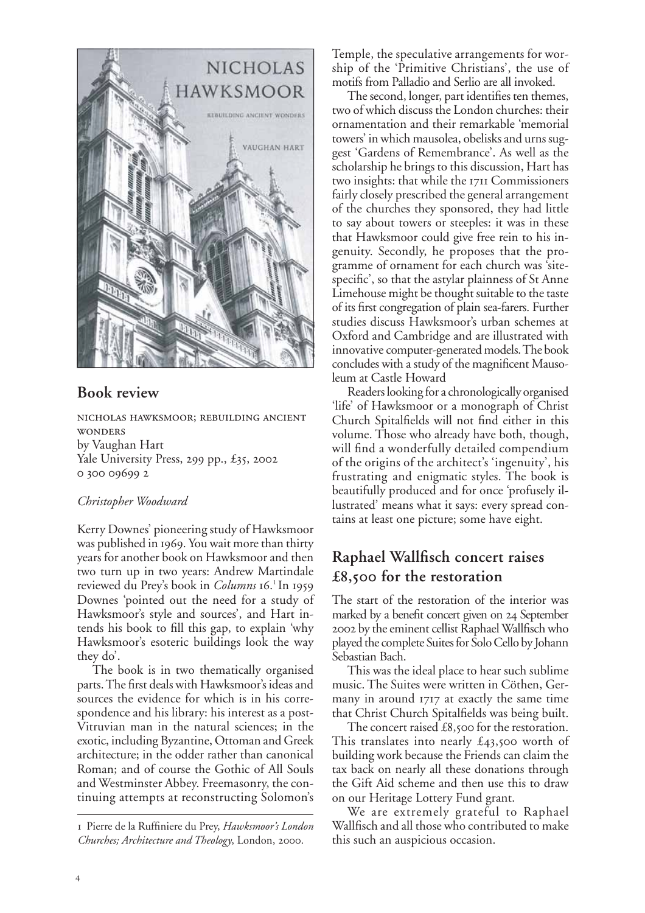

## **Book review**

NICHOLAS HAWKSMOOR; REBUILDING ANCIENT **WONDERS** by Vaughan Hart Yale University Press, 299 pp., £35, 2002 0 300 09699 2

### *Christopher Woodward*

Kerry Downes' pioneering study of Hawksmoor was published in 1969. You wait more than thirty years for another book on Hawksmoor and then two turn up in two years: Andrew Martindale reviewed du Prey's book in *Columns* 16.<sup>1</sup> In 1959 Downes 'pointed out the need for a study of Hawksmoor's style and sources', and Hart intends his book to fill this gap, to explain 'why Hawksmoor's esoteric buildings look the way they do'.

The book is in two thematically organised parts. The first deals with Hawksmoor's ideas and sources the evidence for which is in his correspondence and his library: his interest as a post-Vitruvian man in the natural sciences; in the exotic, including Byzantine, Ottoman and Greek architecture; in the odder rather than canonical Roman; and of course the Gothic of All Souls and Westminster Abbey. Freemasonry, the continuing attempts at reconstructing Solomon's Temple, the speculative arrangements for worship of the 'Primitive Christians', the use of motifs from Palladio and Serlio are all invoked.

The second, longer, part identifies ten themes, two of which discuss the London churches: their ornamentation and their remarkable 'memorial towers' in which mausolea, obelisks and urns suggest 'Gardens of Remembrance'. As well as the scholarship he brings to this discussion, Hart has two insights: that while the 1711 Commissioners fairly closely prescribed the general arrangement of the churches they sponsored, they had little to say about towers or steeples: it was in these that Hawksmoor could give free rein to his ingenuity. Secondly, he proposes that the programme of ornament for each church was 'sitespecific', so that the astylar plainness of St Anne Limehouse might be thought suitable to the taste of its first congregation of plain sea-farers. Further studies discuss Hawksmoor's urban schemes at Oxford and Cambridge and are illustrated with innovative computer-generated models.The book concludes with a study of the magnificent Mausoleum at Castle Howard

Readers looking for a chronologically organised 'life' of Hawksmoor or a monograph of Christ Church Spitalfields will not find either in this volume. Those who already have both, though, will find a wonderfully detailed compendium of the origins of the architect's 'ingenuity', his frustrating and enigmatic styles. The book is beautifully produced and for once 'profusely illustrated' means what it says: every spread contains at least one picture; some have eight.

# **Raphael Wallfisch concert raises £, for the restoration**

The start of the restoration of the interior was marked by a benefit concert given on 24 September by the eminent cellist Raphael Wallfisch who played the complete Suites for Solo Cello by Johann Sebastian Bach.

This was the ideal place to hear such sublime music. The Suites were written in Cöthen, Germany in around  $1717$  at exactly the same time that Christ Church Spitalfields was being built.

The concert raised  $£8,$ 500 for the restoration. This translates into nearly  $\pounds$ 43,500 worth of building work because the Friends can claim the tax back on nearly all these donations through the Gift Aid scheme and then use this to draw on our Heritage Lottery Fund grant.

We are extremely grateful to Raphael Wallfisch and all those who contributed to make this such an auspicious occasion.

Pierre de la Ruffiniere du Prey, *Hawksmoor's London Churches; Architecture and Theology*, London, 2000.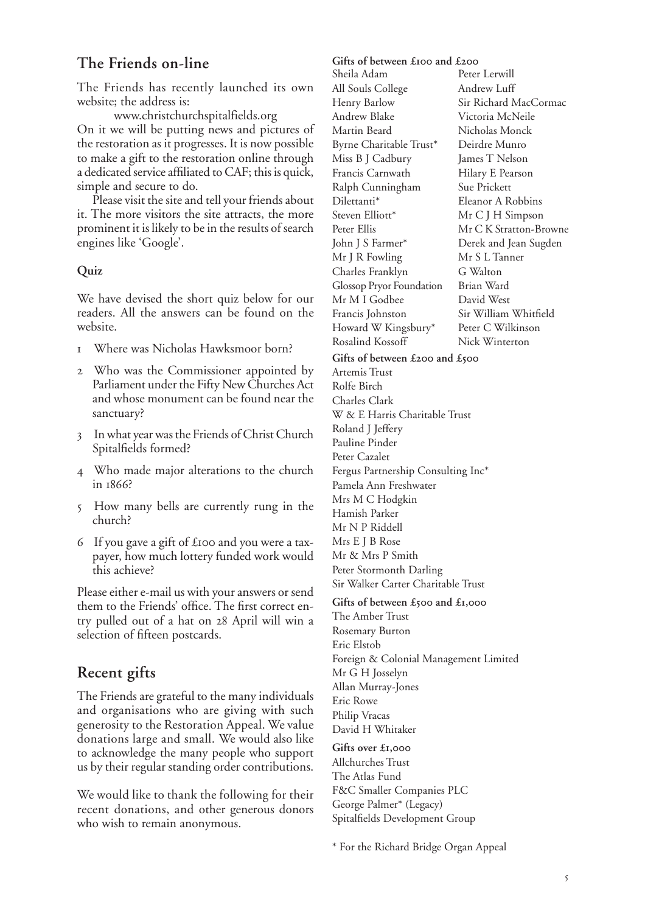# **The Friends on-line**

The Friends has recently launched its own website; the address is:

www.christchurchspitalfields.org On it we will be putting news and pictures of the restoration as it progresses. It is now possible to make a gift to the restoration online through a dedicated service affiliated to CAF; this is quick, simple and secure to do.

Please visit the site and tell your friends about it. The more visitors the site attracts, the more prominent it is likely to be in the results of search engines like 'Google'.

## **Quiz**

We have devised the short quiz below for our readers. All the answers can be found on the website.

- Where was Nicholas Hawksmoor born?
- Who was the Commissioner appointed by Parliament under the Fifty New Churches Act and whose monument can be found near the sanctuary?
- In what year was the Friends of Christ Church Spitalfields formed?
- Who made major alterations to the church in 1866?
- How many bells are currently rung in the church?
- 6 If you gave a gift of  $\pounds$  100 and you were a taxpayer, how much lottery funded work would this achieve?

Please either e-mail us with your answers or send them to the Friends' office. The first correct entry pulled out of a hat on 28 April will win a selection of fifteen postcards.

# **Recent gifts**

The Friends are grateful to the many individuals and organisations who are giving with such generosity to the Restoration Appeal. We value donations large and small. We would also like to acknowledge the many people who support us by their regular standing order contributions.

We would like to thank the following for their recent donations, and other generous donors who wish to remain anonymous.

### Gifts of between £**100** and £200

Sheila Adam All Souls College Henry Barlow Andrew Blake Martin Beard Byrne Charitable Trust\* Miss B J Cadbury Francis Carnwath Ralph Cunningham Dilettanti\* Steven Elliott\* Peter Ellis John J S Farmer\* Mr J R Fowling Charles Franklyn Glossop Pryor Foundation Mr M I Godbee Francis Johnston Howard W Kingsbury\* Rosalind Kossoff

Peter Lerwill Andrew Luff Sir Richard MacCormac Victoria McNeile Nicholas Monck Deirdre Munro James T Nelson Hilary E Pearson Sue Prickett Eleanor A Robbins Mr C J H Simpson Mr C K Stratton-Browne Derek and Jean Sugden Mr S L Tanner G Walton Brian Ward David West Sir William Whitfield Peter C Wilkinson Nick Winterton

#### Gifts of between £200 and £500

Artemis Trust Rolfe Birch Charles Clark W & E Harris Charitable Trust Roland J Jeffery Pauline Pinder Peter Cazalet Fergus Partnership Consulting Inc\* Pamela Ann Freshwater Mrs M C Hodgkin Hamish Parker Mr N P Riddell Mrs E J B Rose Mr & Mrs P Smith Peter Stormonth Darling Sir Walker Carter Charitable Trust

### Gifts of between £500 and £1,000

The Amber Trust Rosemary Burton Eric Elstob Foreign & Colonial Management Limited Mr G H Josselyn Allan Murray-Jones Eric Rowe Philip Vracas David H Whitaker

**Gifts over £,** Allchurches Trust The Atlas Fund F&C Smaller Companies PLC George Palmer\* (Legacy) Spitalfields Development Group

\* For the Richard Bridge Organ Appeal